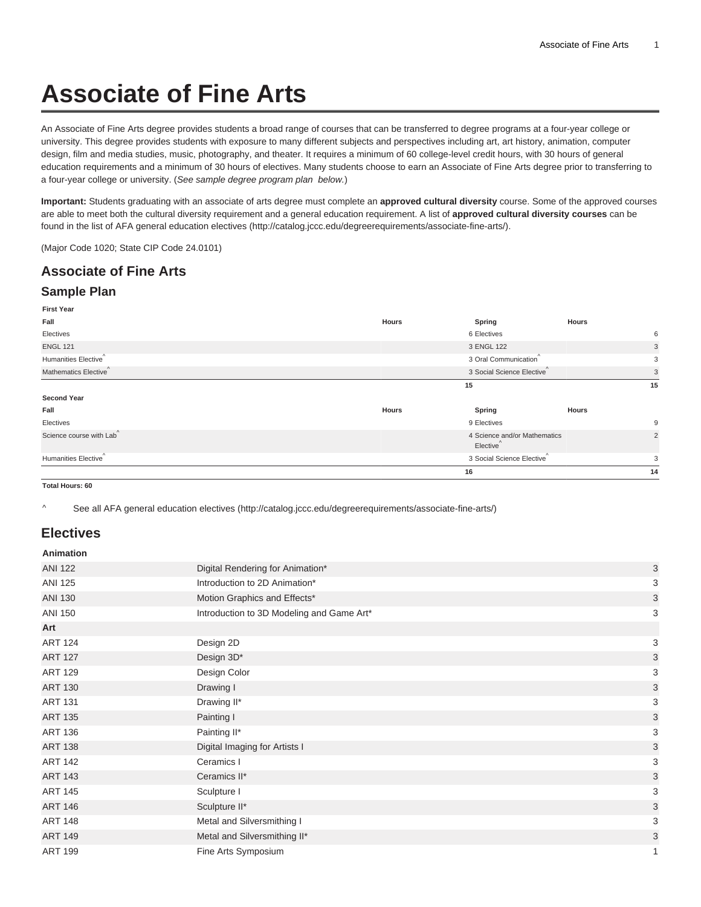# **Associate of Fine Arts**

An Associate of Fine Arts degree provides students a broad range of courses that can be transferred to degree programs at a four-year college or university. This degree provides students with exposure to many different subjects and perspectives including art, art history, animation, computer design, film and media studies, music, photography, and theater. It requires a minimum of 60 college-level credit hours, with 30 hours of general education requirements and a minimum of 30 hours of electives. Many students choose to earn an Associate of Fine Arts degree prior to transferring to a four-year college or university. (See sample degree program plan below.)

**Important:** Students graduating with an associate of arts degree must complete an **approved cultural diversity** course. Some of the approved courses are able to meet both the cultural diversity requirement and a general education requirement. A list of **approved cultural diversity courses** can be found in the list of [AFA general education electives](http://catalog.jccc.edu/degreerequirements/associate-fine-arts/) ([http://catalog.jccc.edu/degreerequirements/associate-fine-arts/\)](http://catalog.jccc.edu/degreerequirements/associate-fine-arts/).

(Major Code 1020; State CIP Code 24.0101)

## **Associate of Fine Arts**

#### **Sample Plan**

| Hours                             | Spring                                   | Hours        |                                                        |
|-----------------------------------|------------------------------------------|--------------|--------------------------------------------------------|
|                                   | 6 Electives                              |              | 6                                                      |
|                                   | 3 ENGL 122                               |              | 3                                                      |
|                                   | 3 Oral Communication                     |              | 3                                                      |
| Mathematics Elective <sup>^</sup> |                                          |              | 3                                                      |
|                                   | 15                                       |              | 15                                                     |
|                                   |                                          |              |                                                        |
| Hours                             | Spring                                   | <b>Hours</b> |                                                        |
|                                   | 9 Electives                              |              | 9                                                      |
|                                   | 4 Science and/or Mathematics<br>Elective |              | 2                                                      |
|                                   |                                          |              | 3                                                      |
|                                   | 16                                       |              | 14                                                     |
|                                   |                                          |              | 3 Social Science Elective<br>3 Social Science Elective |

**Total Hours: 60**

^ [See all AFA general education electives](http://catalog.jccc.edu/degreerequirements/associate-fine-arts/) [\(http://catalog.jccc.edu/degreerequirements/associate-fine-arts/](http://catalog.jccc.edu/degreerequirements/associate-fine-arts/))

### **Electives**

#### **Animation**

| <b>ANI 122</b> | Digital Rendering for Animation*          | 3            |
|----------------|-------------------------------------------|--------------|
| <b>ANI 125</b> | Introduction to 2D Animation*             | 3            |
| <b>ANI 130</b> | Motion Graphics and Effects*              | 3            |
| <b>ANI 150</b> | Introduction to 3D Modeling and Game Art* | 3            |
| Art            |                                           |              |
| <b>ART 124</b> | Design 2D                                 | 3            |
| <b>ART 127</b> | Design 3D*                                | 3            |
| <b>ART 129</b> | Design Color                              | 3            |
| <b>ART 130</b> | Drawing I                                 | 3            |
| <b>ART 131</b> | Drawing II*                               | 3            |
| <b>ART 135</b> | Painting I                                | 3            |
| <b>ART 136</b> | Painting II*                              | 3            |
| <b>ART 138</b> | Digital Imaging for Artists I             | 3            |
| <b>ART 142</b> | Ceramics I                                | 3            |
| <b>ART 143</b> | Ceramics II*                              | 3            |
| <b>ART 145</b> | Sculpture I                               | 3            |
| <b>ART 146</b> | Sculpture II*                             | 3            |
| <b>ART 148</b> | Metal and Silversmithing I                | 3            |
| <b>ART 149</b> | Metal and Silversmithing II*              | 3            |
| <b>ART 199</b> | Fine Arts Symposium                       | $\mathbf{1}$ |
|                |                                           |              |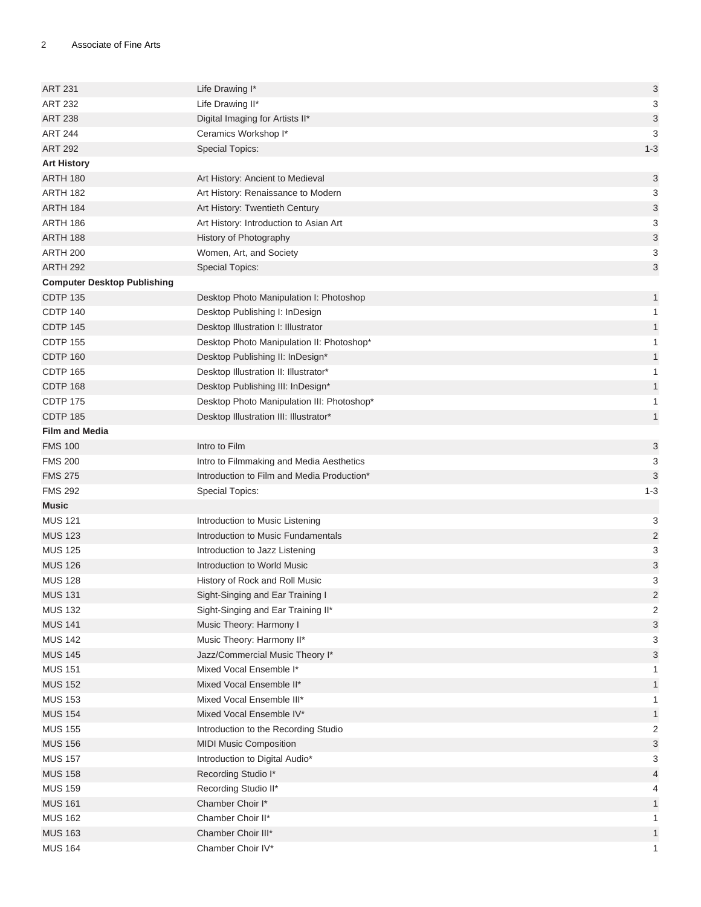| <b>ART 231</b>                     | Life Drawing I*                            | $\ensuremath{\mathsf{3}}$ |
|------------------------------------|--------------------------------------------|---------------------------|
| <b>ART 232</b>                     | Life Drawing II*                           | 3                         |
| ART 238                            | Digital Imaging for Artists II*            | $\ensuremath{\mathsf{3}}$ |
| <b>ART 244</b>                     | Ceramics Workshop I*                       | 3                         |
| <b>ART 292</b>                     | <b>Special Topics:</b>                     | $1 - 3$                   |
| <b>Art History</b>                 |                                            |                           |
| <b>ARTH 180</b>                    | Art History: Ancient to Medieval           | 3                         |
| <b>ARTH 182</b>                    | Art History: Renaissance to Modern         | 3                         |
| <b>ARTH 184</b>                    | Art History: Twentieth Century             | 3                         |
| <b>ARTH 186</b>                    | Art History: Introduction to Asian Art     | 3                         |
| <b>ARTH 188</b>                    | History of Photography                     | $\ensuremath{\mathsf{3}}$ |
| <b>ARTH 200</b>                    | Women, Art, and Society                    | 3                         |
| <b>ARTH 292</b>                    | <b>Special Topics:</b>                     | 3                         |
| <b>Computer Desktop Publishing</b> |                                            |                           |
| <b>CDTP 135</b>                    | Desktop Photo Manipulation I: Photoshop    | $\mathbf{1}$              |
| CDTP 140                           | Desktop Publishing I: InDesign             | 1                         |
| <b>CDTP 145</b>                    | Desktop Illustration I: Illustrator        | 1                         |
| <b>CDTP 155</b>                    | Desktop Photo Manipulation II: Photoshop*  | $\mathbf{1}$              |
| <b>CDTP 160</b>                    | Desktop Publishing II: InDesign*           | $\mathbf{1}$              |
| <b>CDTP 165</b>                    | Desktop Illustration II: Illustrator*      | $\mathbf{1}$              |
| <b>CDTP 168</b>                    | Desktop Publishing III: InDesign*          | $\mathbf{1}$              |
| <b>CDTP 175</b>                    | Desktop Photo Manipulation III: Photoshop* | 1                         |
| <b>CDTP 185</b>                    | Desktop Illustration III: Illustrator*     | $\mathbf{1}$              |
| <b>Film and Media</b>              |                                            |                           |
| <b>FMS 100</b>                     | Intro to Film                              | 3                         |
| <b>FMS 200</b>                     | Intro to Filmmaking and Media Aesthetics   | 3                         |
| <b>FMS 275</b>                     | Introduction to Film and Media Production* | 3                         |
| <b>FMS 292</b>                     | <b>Special Topics:</b>                     | $1 - 3$                   |
| <b>Music</b>                       |                                            |                           |
| <b>MUS 121</b>                     | Introduction to Music Listening            | 3                         |
| <b>MUS 123</b>                     | Introduction to Music Fundamentals         | $\overline{\mathbf{c}}$   |
| <b>MUS 125</b>                     | Introduction to Jazz Listening             | 3                         |
| <b>MUS 126</b>                     | Introduction to World Music                | 3                         |
| <b>MUS 128</b>                     | History of Rock and Roll Music             | 3                         |
| <b>MUS 131</b>                     | Sight-Singing and Ear Training I           | $\sqrt{2}$                |
| <b>MUS 132</b>                     | Sight-Singing and Ear Training II*         | 2                         |
| <b>MUS 141</b>                     | Music Theory: Harmony I                    | 3                         |
| <b>MUS 142</b>                     | Music Theory: Harmony II*                  | 3                         |
| <b>MUS 145</b>                     | Jazz/Commercial Music Theory I*            | 3                         |
| <b>MUS 151</b>                     | Mixed Vocal Ensemble I*                    | 1                         |
| <b>MUS 152</b>                     | Mixed Vocal Ensemble II*                   | $\mathbf{1}$              |
| <b>MUS 153</b>                     | Mixed Vocal Ensemble III*                  | 1.                        |
| <b>MUS 154</b>                     | Mixed Vocal Ensemble IV*                   | 1                         |
| <b>MUS 155</b>                     | Introduction to the Recording Studio       | 2                         |
| <b>MUS 156</b>                     | <b>MIDI Music Composition</b>              | 3                         |
| <b>MUS 157</b>                     | Introduction to Digital Audio*             | 3                         |
| <b>MUS 158</b>                     | Recording Studio I*                        | 4                         |
| <b>MUS 159</b>                     | Recording Studio II*                       | 4                         |
| <b>MUS 161</b>                     | Chamber Choir I*                           | 1                         |
| <b>MUS 162</b>                     | Chamber Choir II*                          | $\mathbf{1}$              |
| <b>MUS 163</b>                     | Chamber Choir III*                         | $\mathbf{1}$              |
| <b>MUS 164</b>                     | Chamber Choir IV*                          | 1                         |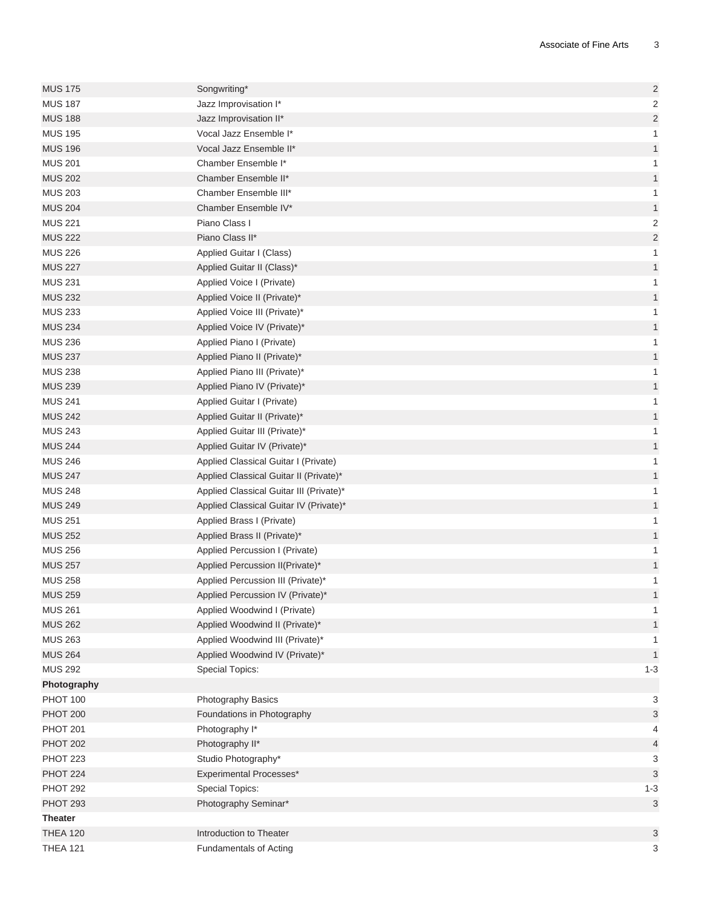| <b>MUS 175</b>  | Songwriting*                            | $\overline{c}$            |
|-----------------|-----------------------------------------|---------------------------|
| <b>MUS 187</b>  | Jazz Improvisation I*                   | $\overline{2}$            |
| <b>MUS 188</b>  | Jazz Improvisation II*                  | $\sqrt{2}$                |
| <b>MUS 195</b>  | Vocal Jazz Ensemble I*                  | 1                         |
| <b>MUS 196</b>  | Vocal Jazz Ensemble II*                 | $\mathbf{1}$              |
| <b>MUS 201</b>  | Chamber Ensemble I*                     | $\mathbf{1}$              |
| <b>MUS 202</b>  | Chamber Ensemble II*                    | $\mathbf{1}$              |
| <b>MUS 203</b>  | Chamber Ensemble III*                   | 1                         |
| <b>MUS 204</b>  | Chamber Ensemble IV*                    | $\mathbf{1}$              |
| <b>MUS 221</b>  | Piano Class I                           | $\overline{2}$            |
| <b>MUS 222</b>  | Piano Class II*                         | $\overline{c}$            |
| <b>MUS 226</b>  | Applied Guitar I (Class)                | $\mathbf{1}$              |
| <b>MUS 227</b>  | Applied Guitar II (Class)*              | $\mathbf{1}$              |
| <b>MUS 231</b>  | Applied Voice I (Private)               | 1                         |
| <b>MUS 232</b>  | Applied Voice II (Private)*             | $\mathbf{1}$              |
| <b>MUS 233</b>  | Applied Voice III (Private)*            | 1                         |
| <b>MUS 234</b>  | Applied Voice IV (Private)*             | $\mathbf{1}$              |
| <b>MUS 236</b>  | Applied Piano I (Private)               | $\mathbf{1}$              |
| <b>MUS 237</b>  | Applied Piano II (Private)*             | $\mathbf{1}$              |
| <b>MUS 238</b>  | Applied Piano III (Private)*            | 1                         |
| <b>MUS 239</b>  | Applied Piano IV (Private)*             | $\mathbf{1}$              |
| <b>MUS 241</b>  | Applied Guitar I (Private)              | $\mathbf{1}$              |
| <b>MUS 242</b>  | Applied Guitar II (Private)*            | $\mathbf{1}$              |
| <b>MUS 243</b>  | Applied Guitar III (Private)*           | $\mathbf{1}$              |
| <b>MUS 244</b>  | Applied Guitar IV (Private)*            | $\mathbf{1}$              |
| <b>MUS 246</b>  | Applied Classical Guitar I (Private)    | 1                         |
| <b>MUS 247</b>  | Applied Classical Guitar II (Private)*  | $\mathbf{1}$              |
| <b>MUS 248</b>  | Applied Classical Guitar III (Private)* | 1                         |
| <b>MUS 249</b>  | Applied Classical Guitar IV (Private)*  | $\mathbf{1}$              |
| <b>MUS 251</b>  | Applied Brass I (Private)               | $\mathbf{1}$              |
| <b>MUS 252</b>  | Applied Brass II (Private)*             | $\mathbf{1}$              |
| <b>MUS 256</b>  | Applied Percussion I (Private)          | 1                         |
| <b>MUS 257</b>  | Applied Percussion II(Private)*         | $\mathbf{1}$              |
| <b>MUS 258</b>  | Applied Percussion III (Private)*       | $\mathbf{1}$              |
| <b>MUS 259</b>  | Applied Percussion IV (Private)*        | $\mathbf{1}$              |
| <b>MUS 261</b>  | Applied Woodwind I (Private)            | $\mathbf{1}$              |
| <b>MUS 262</b>  | Applied Woodwind II (Private)*          | $\mathbf{1}$              |
| <b>MUS 263</b>  | Applied Woodwind III (Private)*         | 1                         |
| <b>MUS 264</b>  | Applied Woodwind IV (Private)*          | $\mathbf{1}$              |
| <b>MUS 292</b>  | Special Topics:                         | $1 - 3$                   |
| Photography     |                                         |                           |
| <b>PHOT 100</b> | Photography Basics                      | 3                         |
| <b>PHOT 200</b> | Foundations in Photography              | 3                         |
| <b>PHOT 201</b> | Photography I*                          | 4                         |
| <b>PHOT 202</b> | Photography II*                         | 4                         |
| <b>PHOT 223</b> | Studio Photography*                     | 3                         |
| <b>PHOT 224</b> | Experimental Processes*                 | $\mathfrak{3}$            |
| <b>PHOT 292</b> | Special Topics:                         | $1 - 3$                   |
| <b>PHOT 293</b> | Photography Seminar*                    | $\ensuremath{\mathsf{3}}$ |
| <b>Theater</b>  |                                         |                           |
| <b>THEA 120</b> | Introduction to Theater                 | 3                         |
| <b>THEA 121</b> | <b>Fundamentals of Acting</b>           | 3                         |